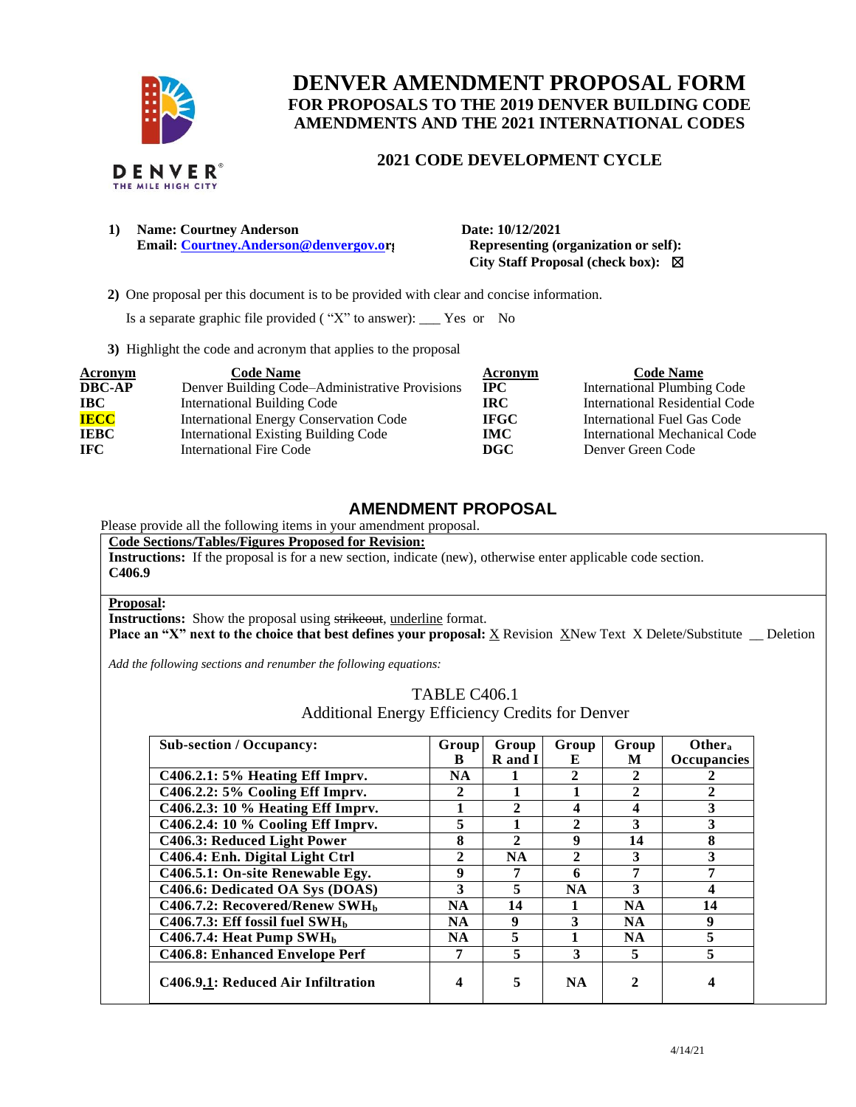

# **DENVER AMENDMENT PROPOSAL FORM FOR PROPOSALS TO THE 2019 DENVER BUILDING CODE AMENDMENTS AND THE 2021 INTERNATIONAL CODES**

### **2021 CODE DEVELOPMENT CYCLE**

| <b>Name: Courtney Anderson</b>         | Date: 10/12/2021        |
|----------------------------------------|-------------------------|
| Email: Courtney.Anderson@denvergov.or; | <b>Representing (of</b> |

**Example 3 Example 2 Convergenting (organization or self): City Staff Proposal (check box):** ☒

 **2)** One proposal per this document is to be provided with clear and concise information.

Is a separate graphic file provided ( "X" to answer): \_\_\_ Yes or No

**3)** Highlight the code and acronym that applies to the proposal

| <b>Acronym</b> | <b>Code Name</b>                               | Acronym     | <b>Code Name</b>                   |
|----------------|------------------------------------------------|-------------|------------------------------------|
| <b>DBC-AP</b>  | Denver Building Code–Administrative Provisions | $\bf IPC$   | <b>International Plumbing Code</b> |
| <b>IBC</b>     | International Building Code                    | IRC.        | International Residential Code     |
| <b>IECC</b>    | <b>International Energy Conservation Code</b>  | <b>IFGC</b> | International Fuel Gas Code        |
| <b>IEBC</b>    | <b>International Existing Building Code</b>    | <b>IMC</b>  | International Mechanical Code      |
| <b>IFC</b>     | International Fire Code                        | DGC         | Denver Green Code                  |

## **AMENDMENT PROPOSAL**

Please provide all the following items in your amendment proposal.

**Code Sections/Tables/Figures Proposed for Revision:**

**Instructions:** If the proposal is for a new section, indicate (new), otherwise enter applicable code section. **C406.9**

#### **Proposal:**

**Instructions:** Show the proposal using strikeout, underline format.

**Place an "X" next to the choice that best defines your proposal:** X Revision XNew Text X Delete/Substitute \_\_ Deletion

*Add the following sections and renumber the following equations:* 

TABLE C406.1 Additional Energy Efficiency Credits for Denver

| <b>Sub-section / Occupancy:</b>               | Group        | Group        | Group        | Group        | Other <sub>a</sub> |
|-----------------------------------------------|--------------|--------------|--------------|--------------|--------------------|
|                                               | B            | R and I      | E            | M            | Occupancies        |
| $C406.2.1: 5\%$ Heating Eff Impry.            | <b>NA</b>    |              |              | 2            |                    |
| C406.2.2: 5% Cooling Eff Imprv.               | 2            |              |              | $\mathbf{2}$ | $\mathbf{2}$       |
| C406.2.3: 10 % Heating Eff Imprv.             |              | $\mathbf{2}$ | 4            | 4            | 3                  |
| C406.2.4: 10 % Cooling Eff Imprv.             | 5            | 1            | $\mathbf{2}$ | 3            | 3                  |
| C406.3: Reduced Light Power                   | 8            | $\mathbf{2}$ | 9            | 14           | 8                  |
| C406.4: Enh. Digital Light Ctrl               | $\mathbf{2}$ | <b>NA</b>    | $\mathbf{2}$ | 3            | 3                  |
| C406.5.1: On-site Renewable Egy.              | 9            | 7            | 6            | 7            | 7                  |
| C406.6: Dedicated OA Sys (DOAS)               | 3            | 5            | <b>NA</b>    | 3            | 4                  |
| $C406.7.2$ : Recovered/Renew SWH <sub>b</sub> | <b>NA</b>    | 14           |              | <b>NA</b>    | 14                 |
| $C406.7.3$ : Eff fossil fuel SWH <sub>b</sub> | <b>NA</b>    | 9            | 3            | <b>NA</b>    | 9                  |
| C406.7.4: Heat Pump $SWHb$                    | <b>NA</b>    | 5            |              | <b>NA</b>    | 5                  |
| <b>C406.8: Enhanced Envelope Perf</b>         |              | 5            | 3            | 5            | 5                  |
| C406.9.1: Reduced Air Infiltration            | 4            | 5            | <b>NA</b>    |              |                    |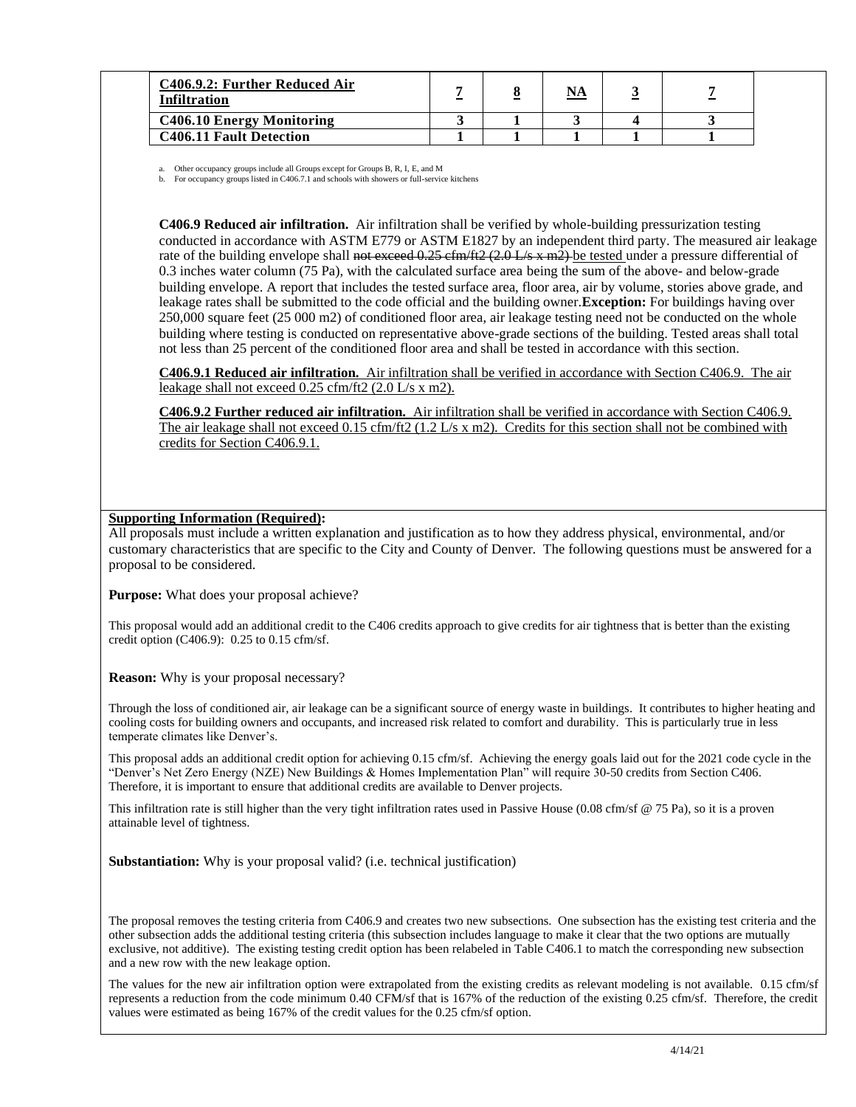| C406.9.2: Further Reduced Air<br>Infiltration | $\sim$ | NA |  |  |
|-----------------------------------------------|--------|----|--|--|
| <b>C406.10 Energy Monitoring</b>              |        |    |  |  |
| <b>C406.11 Fault Detection</b>                |        |    |  |  |

a. Other occupancy groups include all Groups except for Groups B, R, I, E, and M

b. For occupancy groups listed in C406.7.1 and schools with showers or full-service kitchens

**C406.9 Reduced air infiltration.** Air infiltration shall be verified by whole-building pressurization testing conducted in accordance with ASTM E779 or ASTM E1827 by an independent third party. The measured air leakage rate of the building envelope shall not exceed 0.25 cfm/ft2 (2.0 L/s x m2) be tested under a pressure differential of 0.3 inches water column (75 Pa), with the calculated surface area being the sum of the above- and below-grade building envelope. A report that includes the tested surface area, floor area, air by volume, stories above grade, and leakage rates shall be submitted to the code official and the building owner.**Exception:** For buildings having over 250,000 square feet (25 000 m2) of conditioned floor area, air leakage testing need not be conducted on the whole building where testing is conducted on representative above-grade sections of the building. Tested areas shall total not less than 25 percent of the conditioned floor area and shall be tested in accordance with this section.

**C406.9.1 Reduced air infiltration.** Air infiltration shall be verified in accordance with Section C406.9. The air leakage shall not exceed 0.25 cfm/ft2 (2.0 L/s x m2).

**C406.9.2 Further reduced air infiltration.** Air infiltration shall be verified in accordance with Section C406.9. The air leakage shall not exceed 0.15 cfm/ft2 (1.2 L/s x m2). Credits for this section shall not be combined with credits for Section C406.9.1.

### **Supporting Information (Required):**

All proposals must include a written explanation and justification as to how they address physical, environmental, and/or customary characteristics that are specific to the City and County of Denver. The following questions must be answered for a proposal to be considered.

**Purpose:** What does your proposal achieve?

This proposal would add an additional credit to the C406 credits approach to give credits for air tightness that is better than the existing credit option (C406.9): 0.25 to 0.15 cfm/sf.

**Reason:** Why is your proposal necessary?

Through the loss of conditioned air, air leakage can be a significant source of energy waste in buildings. It contributes to higher heating and cooling costs for building owners and occupants, and increased risk related to comfort and durability. This is particularly true in less temperate climates like Denver's.

This proposal adds an additional credit option for achieving 0.15 cfm/sf. Achieving the energy goals laid out for the 2021 code cycle in the "Denver's Net Zero Energy (NZE) New Buildings & Homes Implementation Plan" will require 30-50 credits from Section C406. Therefore, it is important to ensure that additional credits are available to Denver projects.

This infiltration rate is still higher than the very tight infiltration rates used in Passive House (0.08 cfm/sf  $@$  75 Pa), so it is a proven attainable level of tightness.

**Substantiation:** Why is your proposal valid? (i.e. technical justification)

The proposal removes the testing criteria from C406.9 and creates two new subsections. One subsection has the existing test criteria and the other subsection adds the additional testing criteria (this subsection includes language to make it clear that the two options are mutually exclusive, not additive). The existing testing credit option has been relabeled in Table C406.1 to match the corresponding new subsection and a new row with the new leakage option.

The values for the new air infiltration option were extrapolated from the existing credits as relevant modeling is not available. 0.15 cfm/sf represents a reduction from the code minimum 0.40 CFM/sf that is 167% of the reduction of the existing 0.25 cfm/sf. Therefore, the credit values were estimated as being 167% of the credit values for the 0.25 cfm/sf option.